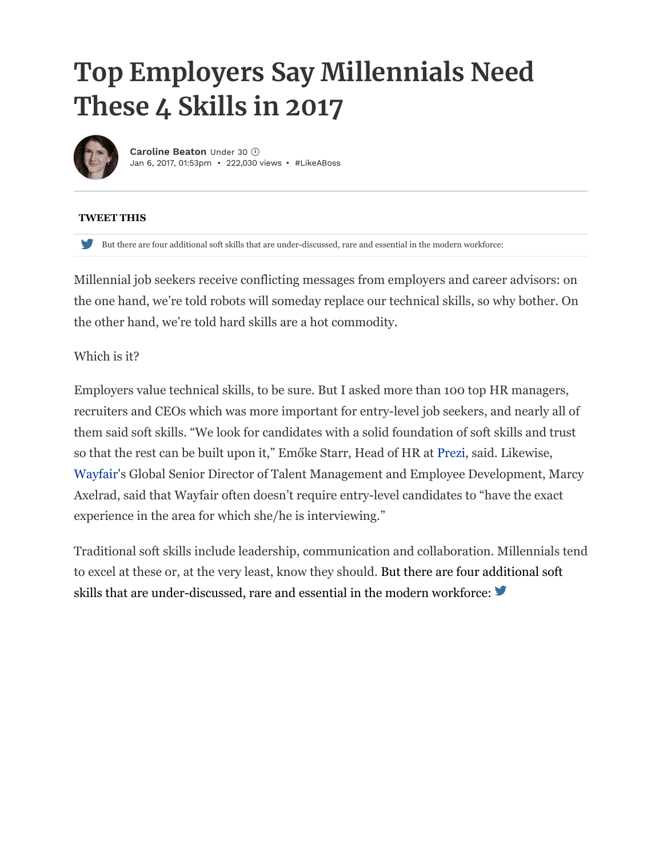# **Top Employers Say Millennials Need These 4 Skills in 2017**



Jan 6, 2017, 01:53pm • 222,030 views • #LikeABoss **Caroline Beaton** Under 30 **<sup>i</sup>**

#### **TWEET THIS**

+ But there are four additional soft skills that are under-discussed, rare and essential in the modern workforce:

Millennial job seekers receive conflicting messages from employers and career advisors: on the one hand, we're told robots will someday replace our technical skills, so why bother. On the other hand, we're told hard skills are a hot commodity.

Which is it?

Employers value technical skills, to be sure. But I asked more than 100 top HR managers, recruiters and CEOs which was more important for entry-level job seekers, and nearly all of them said soft skills. "We look for candidates with a solid foundation of soft skills and trust so that the rest can be built upon it," Emőke Starr, Head of HR at Prezi, said. Likewise, Wayfair's Global Senior Director of Talent Management and Employee Development, Marcy Axelrad, said that Wayfair often doesn't require entry-level candidates to "have the exact experience in the area for which she/he is interviewing."

Traditional soft skills include leadership, communication and collaboration. Millennials tend to excel at these or, at the very least, know they should. But there are four additional soft skills that are under-discussed, rare and essential in the modern workforce:  $\blacktriangleright$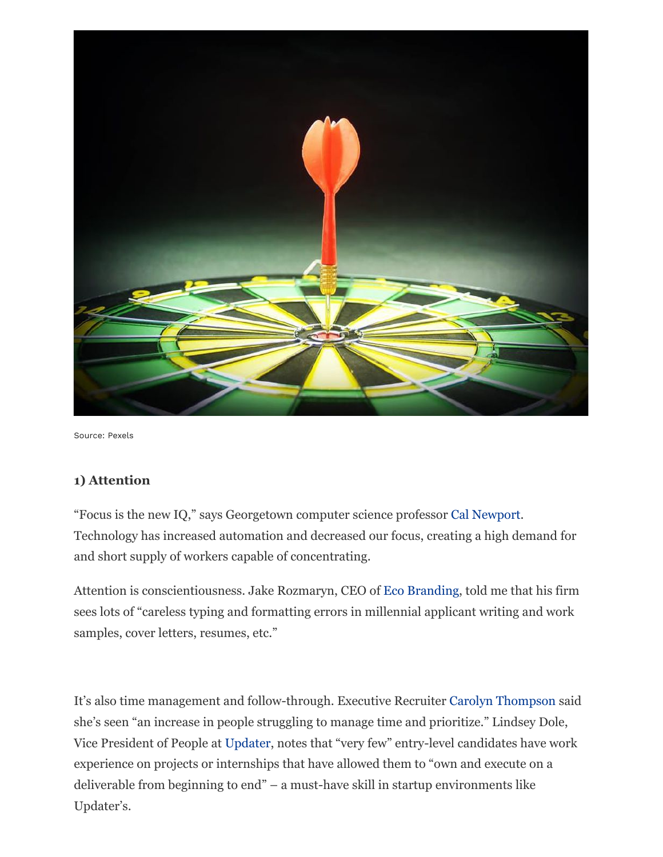

Source: Pexels

#### **1) Attention**

"Focus is the new IQ," says Georgetown computer science professor Cal Newport. Technology has increased automation and decreased our focus, creating a high demand for and short supply of workers capable of concentrating.

Attention is conscientiousness. Jake Rozmaryn, CEO of Eco Branding, told me that his firm sees lots of "careless typing and formatting errors in millennial applicant writing and work samples, cover letters, resumes, etc."

It's also time management and follow-through. Executive Recruiter Carolyn Thompson said she's seen "an increase in people struggling to manage time and prioritize." Lindsey Dole, Vice President of People at Updater, notes that "very few" entry-level candidates have work experience on projects or internships that have allowed them to "own and execute on a deliverable from beginning to end" – a must-have skill in startup environments like Updater's.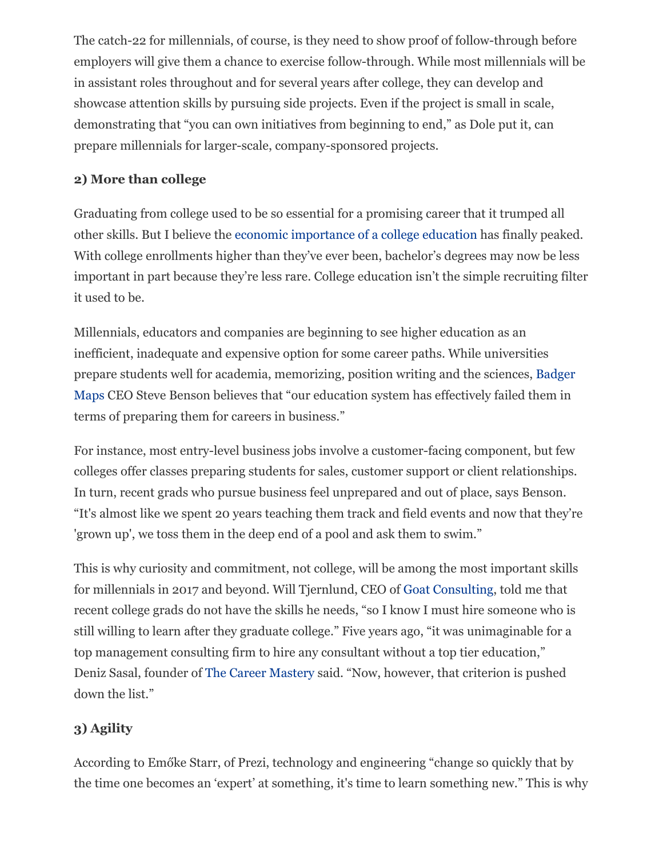The catch-22 for millennials, of course, is they need to show proof of follow-through before employers will give them a chance to exercise follow-through. While most millennials will be in assistant roles throughout and for several years after college, they can develop and showcase attention skills by pursuing side projects. Even if the project is small in scale, demonstrating that "you can own initiatives from beginning to end," as Dole put it, can prepare millennials for larger-scale, company-sponsored projects.

### **2) More than college**

Graduating from college used to be so essential for a promising career that it trumped all other skills. But I believe the economic importance of a college education has finally peaked. With college enrollments higher than they've ever been, bachelor's degrees may now be less important in part because they're less rare. College education isn't the simple recruiting filter it used to be.

Millennials, educators and companies are beginning to see higher education as an inefficient, inadequate and expensive option for some career paths. While universities prepare students well for academia, memorizing, position writing and the sciences, Badger Maps CEO Steve Benson believes that "our education system has effectively failed them in terms of preparing them for careers in business."

For instance, most entry-level business jobs involve a customer-facing component, but few colleges offer classes preparing students for sales, customer support or client relationships. In turn, recent grads who pursue business feel unprepared and out of place, says Benson. "It's almost like we spent 20 years teaching them track and field events and now that they're 'grown up', we toss them in the deep end of a pool and ask them to swim."

This is why curiosity and commitment, not college, will be among the most important skills for millennials in 2017 and beyond. Will Tjernlund, CEO of Goat Consulting, told me that recent college grads do not have the skills he needs, "so I know I must hire someone who is still willing to learn after they graduate college." Five years ago, "it was unimaginable for a top management consulting firm to hire any consultant without a top tier education," Deniz Sasal, founder of The Career Mastery said. "Now, however, that criterion is pushed down the list."

## **3) Agility**

According to Emőke Starr, of Prezi, technology and engineering "change so quickly that by the time one becomes an 'expert' at something, it's time to learn something new." This is why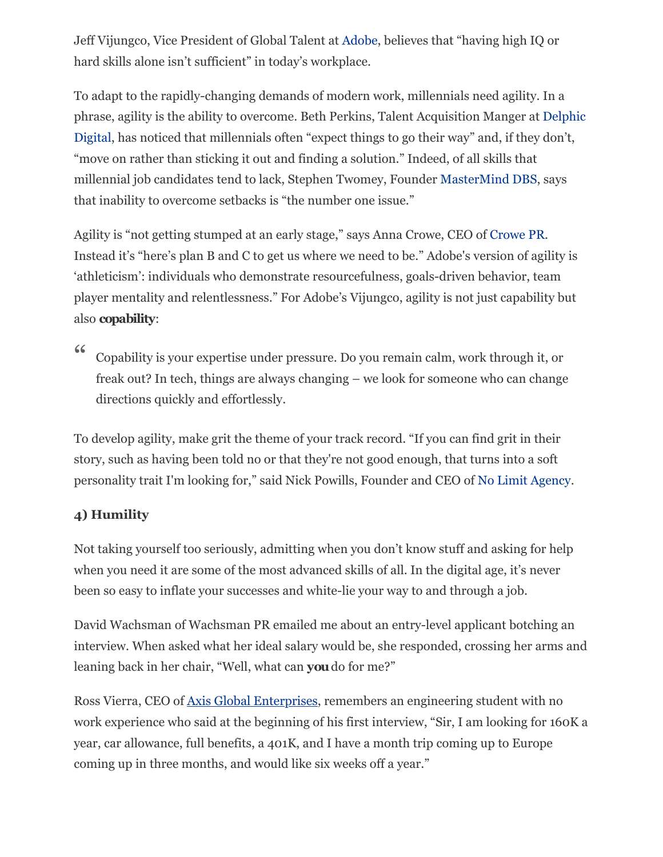Jeff Vijungco, Vice President of Global Talent at Adobe, believes that "having high IQ or hard skills alone isn't sufficient" in today's workplace.

To adapt to the rapidly-changing demands of modern work, millennials need agility. In a phrase, agility is the ability to overcome. Beth Perkins, Talent Acquisition Manger at Delphic Digital, has noticed that millennials often "expect things to go their way" and, if they don't, "move on rather than sticking it out and finding a solution." Indeed, of all skills that millennial job candidates tend to lack, Stephen Twomey, Founder MasterMind DBS, says that inability to overcome setbacks is "the number one issue."

Agility is "not getting stumped at an early stage," says Anna Crowe, CEO of Crowe PR. Instead it's "here's plan B and C to get us where we need to be." Adobe's version of agility is 'athleticism': individuals who demonstrate resourcefulness, goals-driven behavior, team player mentality and relentlessness." For Adobe's Vijungco, agility is not just capability but also **copability**:

Copability is your expertise under pressure. Do you remain calm, work through it, or freak out? In tech, things are always changing – we look for someone who can change directions quickly and effortlessly. "

To develop agility, make grit the theme of your track record. "If you can find grit in their story, such as having been told no or that they're not good enough, that turns into a soft personality trait I'm looking for," said Nick Powills, Founder and CEO of No Limit Agency.

#### **4) Humility**

Not taking yourself too seriously, admitting when you don't know stuff and asking for help when you need it are some of the most advanced skills of all. In the digital age, it's never been so easy to inflate your successes and white-lie your way to and through a job.

David Wachsman of Wachsman PR emailed me about an entry-level applicant botching an interview. When asked what her ideal salary would be, she responded, crossing her arms and leaning back in her chair, "Well, what can **you**do for me?"

Ross Vierra, CEO of Axis Global Enterprises, remembers an engineering student with no work experience who said at the beginning of his first interview, "Sir, I am looking for 160K a year, car allowance, full benefits, a 401K, and I have a month trip coming up to Europe coming up in three months, and would like six weeks off a year."